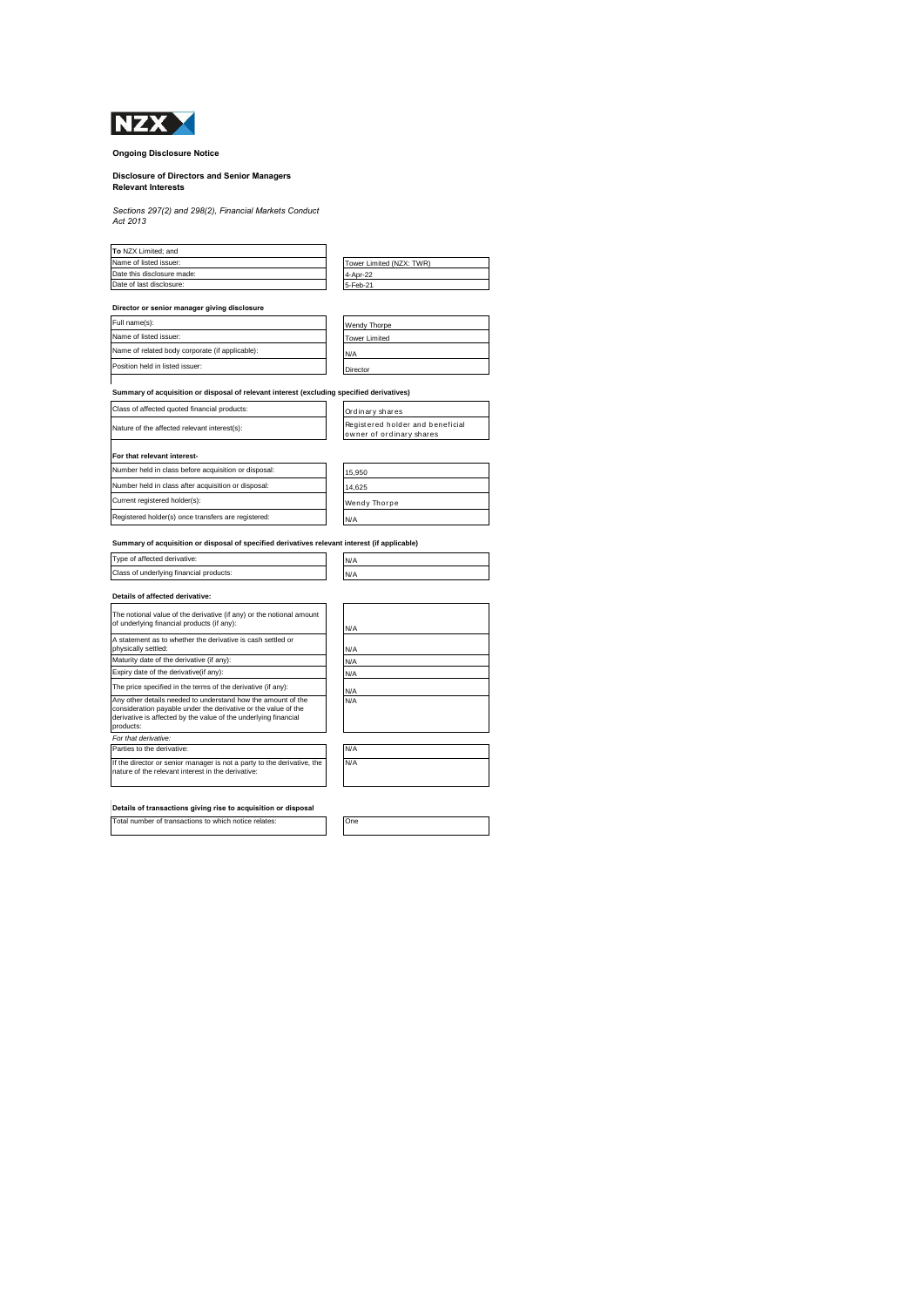

### **Ongoing Disclosure Notice**

# **Disclosure of Directors and Senior Managers Relevant Interests**

*Sections 297(2) and 298(2), Financial Markets Conduct Act 2013*

| To NZX Limited: and                                                                       |                                                              |
|-------------------------------------------------------------------------------------------|--------------------------------------------------------------|
| Name of listed issuer:                                                                    | Tower Limited (NZX: TWR)                                     |
| Date this disclosure made:                                                                | 4-Apr-22                                                     |
| Date of last disclosure:                                                                  | 5-Feb-21                                                     |
| Director or senior manager giving disclosure                                              |                                                              |
| Full name(s):                                                                             | Wendy Thorpe                                                 |
| Name of listed issuer:                                                                    | <b>Tower Limited</b>                                         |
| Name of related body corporate (if applicable):                                           | N/A                                                          |
| Position held in listed issuer:                                                           | Director                                                     |
| Summary of acquisition or disposal of relevant interest (excluding specified derivatives) |                                                              |
| Class of affected quoted financial products:                                              | Ordinary shares                                              |
| Nature of the affected relevant interest(s):                                              | Registered holder and beneficial<br>owner of ordinary shares |
| For that relevant interest-                                                               |                                                              |
| Number held in class before acquisition or disposal:                                      | 15.950                                                       |

| Number held in class after acquisition or disposal: | 14.625              |
|-----------------------------------------------------|---------------------|
| Current registered holder(s):                       | <b>Wendy Thorpe</b> |
| Registered holder(s) once transfers are registered: | N/A                 |
|                                                     |                     |

## **Summary of acquisition or disposal of specified derivatives relevant interest (if applicable)** Type of affected derivative: N/A Class of underlying financial products: N/A **Details of affected derivative:**

| The notional value of the derivative (if any) or the notional amount<br>of underlying financial products (if any):                                                                                             | N/A |
|----------------------------------------------------------------------------------------------------------------------------------------------------------------------------------------------------------------|-----|
| A statement as to whether the derivative is cash settled or<br>physically settled:                                                                                                                             | N/A |
| Maturity date of the derivative (if any):                                                                                                                                                                      | N/A |
| Expiry date of the derivative (if any):                                                                                                                                                                        | N/A |
| The price specified in the terms of the derivative (if any):                                                                                                                                                   | N/A |
| Any other details needed to understand how the amount of the<br>consideration payable under the derivative or the value of the<br>derivative is affected by the value of the underlying financial<br>products: | N/A |
| For that derivative:                                                                                                                                                                                           |     |
| Parties to the derivative:                                                                                                                                                                                     | N/A |
| If the director or senior manager is not a party to the derivative, the<br>nature of the relevant interest in the derivative:                                                                                  | N/A |

**Details of transactions giving rise to acquisition or disposal**

Total number of transactions to which notice relates: One